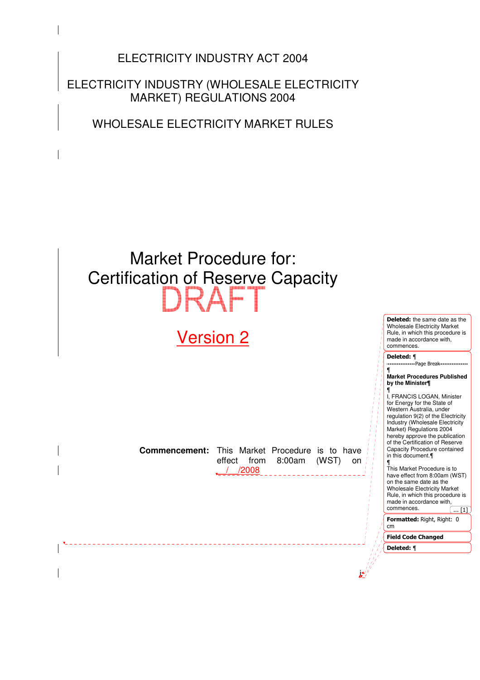ELECTRICITY INDUSTRY ACT 2004

ELECTRICITY INDUSTRY (WHOLESALE ELECTRICITY MARKET) REGULATIONS 2004

WHOLESALE ELECTRICITY MARKET RULES

# Market Procedure for: Certification of Reserve Capacity

# Version 2

<u>\_\_\_\_\_\_\_\_\_\_</u>

**Commencement:** This Market Procedure is to have effect from 8:00am (WST) on \_\_/\_\_/2008

Deleted: the same date as the Wholesale Electricity Market Rule, in which this procedure is made in accordance with, commences.

------------------Page Break----------------

Deleted: ¶

¶

**Market Procedures Published by the Minister¶** ¶ I, FRANCIS LOGAN, Minister for Energy for the State of Western Australia, under regulation 9(2) of the Electricity Industry (Wholesale Electricity

Market) Regulations 2004 hereby approve the publication of the Certification of Reserve Capacity Procedure contained in this document.¶ ¶ This Market Procedure is to

have effect from 8:00am (WST) on the same date as the Wholesale Electricity Market Rule, in which this procedure is made in accordance with, commences.  $\overline{... [1]}$ 

Formatted: Right, Right: 0 cm

Field Code Changed Deleted: ¶

i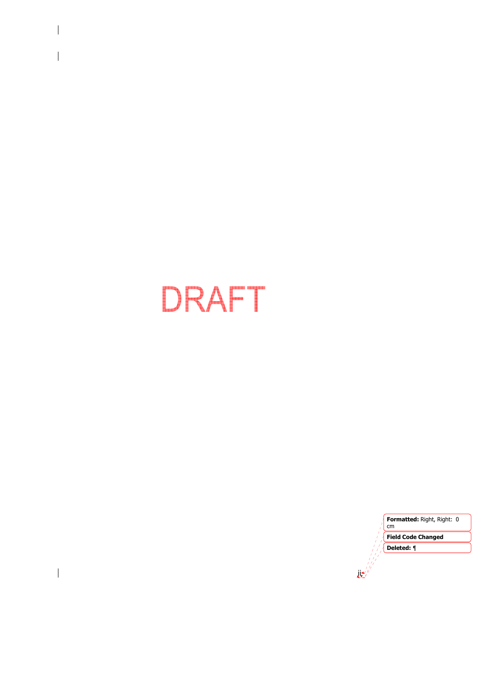# DRAFT

 $\overline{\phantom{a}}$ 

 $\begin{array}{c} \hline \end{array}$ 

 $\mathbf{R}^{(i)}_{\mathbf{z}}$ Formatted: Right, Right: 0 cm Field Code Changed Deleted: ¶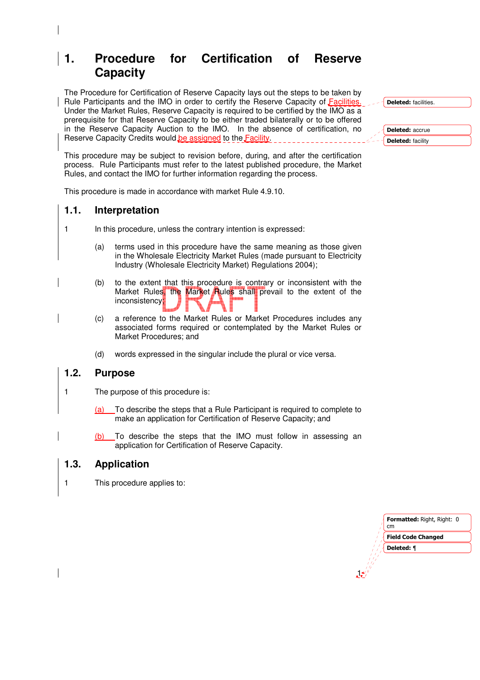# **1. Procedure for Certification of Reserve Capacity**

The Procedure for Certification of Reserve Capacity lays out the steps to be taken by Rule Participants and the IMO in order to certify the Reserve Capacity of Facilities. Under the Market Rules, Reserve Capacity is required to be certified by the IMO as a prerequisite for that Reserve Capacity to be either traded bilaterally or to be offered in the Reserve Capacity Auction to the IMO. In the absence of certification, no Reserve Capacity Credits would be assigned to the Facility.

This procedure may be subject to revision before, during, and after the certification process. Rule Participants must refer to the latest published procedure, the Market Rules, and contact the IMO for further information regarding the process.

This procedure is made in accordance with market Rule 4.9.10.

# **1.1. Interpretation**

- 1 In this procedure, unless the contrary intention is expressed:
	- (a) terms used in this procedure have the same meaning as those given in the Wholesale Electricity Market Rules (made pursuant to Electricity Industry (Wholesale Electricity Market) Regulations 2004);
	- (b) to the extent that this procedure is contrary or inconsistent with the Market Rules, the Market Rules shall prevail to the extent of the inconsistency.
	- (c) a reference to the Market Rules or Market Procedures includes any associated forms required or contemplated by the Market Rules or Market Procedures; and
		- (d) words expressed in the singular include the plural or vice versa.

# **1.2. Purpose**

- 1 The purpose of this procedure is:
	- (a) To describe the steps that a Rule Participant is required to complete to make an application for Certification of Reserve Capacity; and
	- (b) To describe the steps that the IMO must follow in assessing an application for Certification of Reserve Capacity.

# **1.3. Application**

1 This procedure applies to:



1

Deleted: facilities.

Deleted: accrue Deleted: facility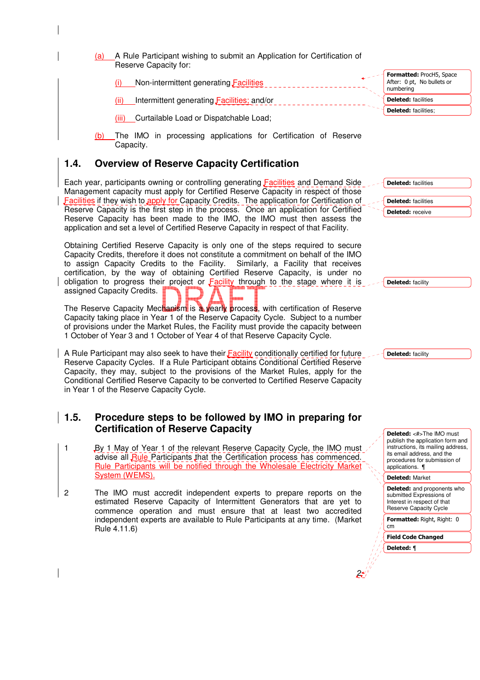(a) A Rule Participant wishing to submit an Application for Certification of Reserve Capacity for:

Non-intermittent generating **Facilities** (ii) Intermittent generating Facilities; and/or

(iii) Curtailable Load or Dispatchable Load;

The IMO in processing applications for Certification of Reserve Capacity.

# **1.4. Overview of Reserve Capacity Certification**

Each year, participants owning or controlling generating Facilities and Demand Side Management capacity must apply for Certified Reserve Capacity in respect of those Facilities if they wish to apply for Capacity Credits. The application for Certification of Reserve Capacity is the first step in the process. Once an application for Certified Reserve Capacity has been made to the IMO, the IMO must then assess the application and set a level of Certified Reserve Capacity in respect of that Facility.

Obtaining Certified Reserve Capacity is only one of the steps required to secure Capacity Credits, therefore it does not constitute a commitment on behalf of the IMO to assign Capacity Credits to the Facility. Similarly, a Facility that receives certification, by the way of obtaining Certified Reserve Capacity, is under no obligation to progress their project or Facility through to the stage where it is assigned Capacity Credits.

The Reserve Capacity Mechanism is a yearly process, with certification of Reserve Capacity taking place in Year 1 of the Reserve Capacity Cycle. Subject to a number of provisions under the Market Rules, the Facility must provide the capacity between 1 October of Year 3 and 1 October of Year 4 of that Reserve Capacity Cycle.

A Rule Participant may also seek to have their Facility conditionally certified for future Reserve Capacity Cycles. If a Rule Participant obtains Conditional Certified Reserve Capacity, they may, subject to the provisions of the Market Rules, apply for the Conditional Certified Reserve Capacity to be converted to Certified Reserve Capacity in Year 1 of the Reserve Capacity Cycle.

# **1.5. Procedure steps to be followed by IMO in preparing for Certification of Reserve Capacity**

- 1 By 1 May of Year 1 of the relevant Reserve Capacity Cycle, the IMO must advise all Rule Participants that the Certification process has commenced. Rule Participants will be notified through the Wholesale Electricity Market System (WEMS).
- 2 The IMO must accredit independent experts to prepare reports on the estimated Reserve Capacity of Intermittent Generators that are yet to commence operation and must ensure that at least two accredited independent experts are available to Rule Participants at any time. (Market Rule 4.11.6)

Deleted: facilities Deleted: facilities Deleted: receive

Formatted: ProcH5, Space After: 0 pt, No bullets or

numbering Deleted: facilities Deleted: facilities;

Deleted: facility

Deleted: facility

Deleted: <#>The IMO must publish the application form and instructions, its mailing address, its email address, and the procedures for submission of .<br>applications.  $\P$ 

Deleted: Market

Deleted: and proponents who submitted Expressions of Interest in respect of that Reserve Capacity Cycle

Formatted: Right, Right: 0 cm

Field Code Changed

Deleted: ¶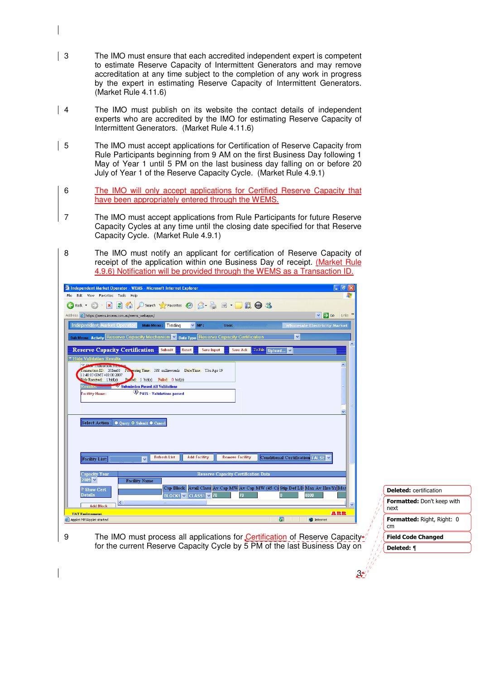- 3 The IMO must ensure that each accredited independent expert is competent to estimate Reserve Capacity of Intermittent Generators and may remove accreditation at any time subject to the completion of any work in progress by the expert in estimating Reserve Capacity of Intermittent Generators. (Market Rule 4.11.6)
- | 4 The IMO must publish on its website the contact details of independent experts who are accredited by the IMO for estimating Reserve Capacity of Intermittent Generators. (Market Rule 4.11.6)
- 5 The IMO must accept applications for Certification of Reserve Capacity from Rule Participants beginning from 9 AM on the first Business Day following 1 May of Year 1 until 5 PM on the last business day falling on or before 20 July of Year 1 of the Reserve Capacity Cycle. (Market Rule 4.9.1)
- 6 The IMO will only accept applications for Certified Reserve Capacity that have been appropriately entered through the WEMS.
- 7 The IMO must accept applications from Rule Participants for future Reserve Capacity Cycles at any time until the closing date specified for that Reserve Capacity Cycle. (Market Rule 4.9.1)
- 8 The IMO must notify an applicant for certification of Reserve Capacity of receipt of the application within one Business Day of receipt. (Market Rule 4.9.6) Notification will be provided through the WEMS as a Transaction ID.

| $ \mathbf{F}$ $\mathbf{x}$<br>Independent Market Operator - WEMS - Microsoft Internet Explorer                                                                                                                                                                                                                                                                                                                                                                                                                                                                                                                                                                                                                                         |                                  |
|----------------------------------------------------------------------------------------------------------------------------------------------------------------------------------------------------------------------------------------------------------------------------------------------------------------------------------------------------------------------------------------------------------------------------------------------------------------------------------------------------------------------------------------------------------------------------------------------------------------------------------------------------------------------------------------------------------------------------------------|----------------------------------|
| Edit View Favorites Tools Help<br>File.                                                                                                                                                                                                                                                                                                                                                                                                                                                                                                                                                                                                                                                                                                |                                  |
| G Back · ○ · × 2 4 6 2 Search 大Favorites ④ B - 2 回 · ■ 1 1 6 %                                                                                                                                                                                                                                                                                                                                                                                                                                                                                                                                                                                                                                                                         |                                  |
| $\vee$ $\rightarrow$ Go Links $\rightarrow$<br>Address <b>e</b> https://wems.imowa.com.au/wems_webapps/                                                                                                                                                                                                                                                                                                                                                                                                                                                                                                                                                                                                                                |                                  |
| Independent Market Operator<br>Main Menu: Trading<br>$\times$ MP:<br><b>Wholesale Electricity Market</b><br>User:                                                                                                                                                                                                                                                                                                                                                                                                                                                                                                                                                                                                                      |                                  |
| <u>sub Menu: Activity Reserve Capacity Mechanism.</u><br>Data Type Reserve Capacity Certification<br>$\checkmark$<br>$\vee$                                                                                                                                                                                                                                                                                                                                                                                                                                                                                                                                                                                                            |                                  |
| <b>Reserve Capacity Certification</b><br>To File: Upload<br>Submit<br>Reset<br><b>Save Input</b><br><b>Save Ack</b><br>$\overline{\triangledown}$ Hide Validation Results<br><b>Experience of the Contract of the Contract of the Contract of the Contract of the Contract of the Contract of the Contract of the Contract of the Contract of the Contract of the Contract of the Contract of the Contract of</b><br>I ransaction ID: 3JBm60 Pro essing Time: 188 milliseconds Date/Time: Thu Apr 19<br>11:48:07 GMT+08:00 2007<br>Posed: 1 bid(s) Failed: 0 bid(s)<br>Bids Received: 1 bid(s)<br>Submission Passed All Validations<br>PASS - Validations passed<br><b>Facility Name:</b><br>Select Action : O Query O Submit O Cancel |                                  |
| Conditional Certification FALSE V<br><b>Refresh List</b><br><b>Add Facility</b><br><b>Remove Facility</b><br><b>Facility List:</b><br>$\ddotmark$<br>Reserve Capacity Certification Data<br><b>Capacity Year</b><br>$2009$ $\vee$<br><b>Facility Name</b>                                                                                                                                                                                                                                                                                                                                                                                                                                                                              |                                  |
| Cap Block Avail Class Av Cap MW Av Cap MW (45 C) Stip Def LD Max Av Hrs/Yr Max<br>Show Cert                                                                                                                                                                                                                                                                                                                                                                                                                                                                                                                                                                                                                                            | <b>Deleted:</b> certification    |
| 3000<br>BLOCK1 V CLASS1 V 70<br><b>Details</b>                                                                                                                                                                                                                                                                                                                                                                                                                                                                                                                                                                                                                                                                                         | Formatted: Don't keep with       |
| <b>Add Block</b>                                                                                                                                                                                                                                                                                                                                                                                                                                                                                                                                                                                                                                                                                                                       | next                             |
| 本語語<br><b>HAT Environment.</b><br>$\overline{\mathbf{a}}$<br><b>O</b> Internet<br>Applet MPIApplet started                                                                                                                                                                                                                                                                                                                                                                                                                                                                                                                                                                                                                             | Formatted: Right, Right: 0<br>cm |
| 9<br>The IMO must process all applications for Certification of Reserve Capacity <sup>4</sup>                                                                                                                                                                                                                                                                                                                                                                                                                                                                                                                                                                                                                                          | <b>Field Code Changed</b>        |

3

Deleted: ¶

for the current Reserve Capacity Cycle by 5 PM of the last Business Day on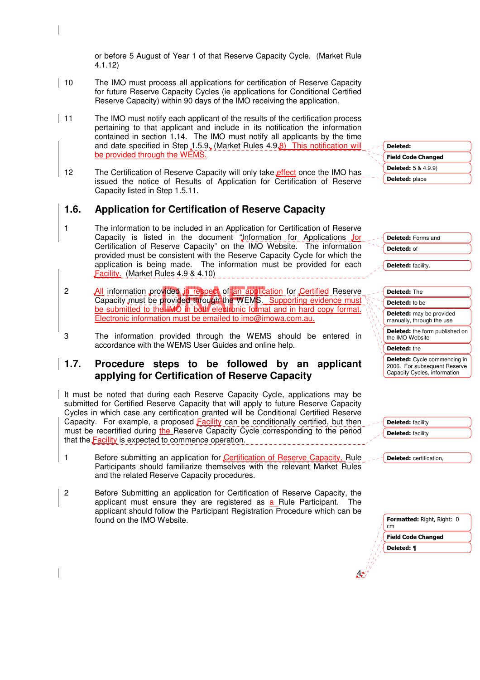or before 5 August of Year 1 of that Reserve Capacity Cycle. (Market Rule 4.1.12)

- 10 The IMO must process all applications for certification of Reserve Capacity for future Reserve Capacity Cycles (ie applications for Conditional Certified Reserve Capacity) within 90 days of the IMO receiving the application.
- 11 The IMO must notify each applicant of the results of the certification process pertaining to that applicant and include in its notification the information contained in section 1.14. The IMO must notify all applicants by the time and date specified in Step 1.5.9. (Market Rules  $4.9.8$ ) This notification will be provided through the WEMS.
	- 12 The Certification of Reserve Capacity will only take effect once the IMO has issued the notice of Results of Application for Certification of Reserve Capacity listed in Step 1.5.11.

# **1.6. Application for Certification of Reserve Capacity**

- 1 The information to be included in an Application for Certification of Reserve Capacity is listed in the document "Information for Applications for Certification of Reserve Capacity" on the IMO Website. The information provided must be consistent with the Reserve Capacity Cycle for which the application is being made. The information must be provided for each Facility. (Market Rules 4.9 & 4.10)
- 2 All information provided in respect of an application for Certified Reserve Capacity must be provided through the WEMS. Supporting evidence must be submitted to the IMO in both electronic format and in hard copy format. Electronic information must be emailed to imo@imowa.com.au.
- 3 The information provided through the WEMS should be entered in accordance with the WEMS User Guides and online help.

# **1.7. Procedure steps to be followed by an applicant applying for Certification of Reserve Capacity**

It must be noted that during each Reserve Capacity Cycle, applications may be submitted for Certified Reserve Capacity that will apply to future Reserve Capacity Cycles in which case any certification granted will be Conditional Certified Reserve Capacity. For example, a proposed Facility can be conditionally certified, but then must be recertified during the Reserve Capacity Cycle corresponding to the period that the **Facility** is expected to commence operation.

- 1 Before submitting an application for Certification of Reserve Capacity, Rule Participants should familiarize themselves with the relevant Market Rules and the related Reserve Capacity procedures.
- 2 Before Submitting an application for Certification of Reserve Capacity, the applicant must ensure they are registered as a Rule Participant. The applicant should follow the Participant Registration Procedure which can be found on the IMO Website.

| Deleted:                   |
|----------------------------|
| <b>Field Code Changed</b>  |
| <b>Deleted:</b> 5 & 4.9.9) |
| <b>Deleted: place</b>      |

Deleted: Forms and Deleted: of

Deleted: facility.

| <b>Deleted: The</b>                                          |
|--------------------------------------------------------------|
| <b>Deleted:</b> to be                                        |
| <b>Deleted:</b> may be provided<br>manually, through the use |
| Deleted: the form published on<br>the IMO Website            |
| Deleted: the                                                 |

Deleted: Cycle commencing in 2006. For subsequent Reserve Capacity Cycles, information

Deleted: facility Deleted: facility

Deleted: certification,

Formatted: Right, Right: 0 cm Field Code Changed Deleted: ¶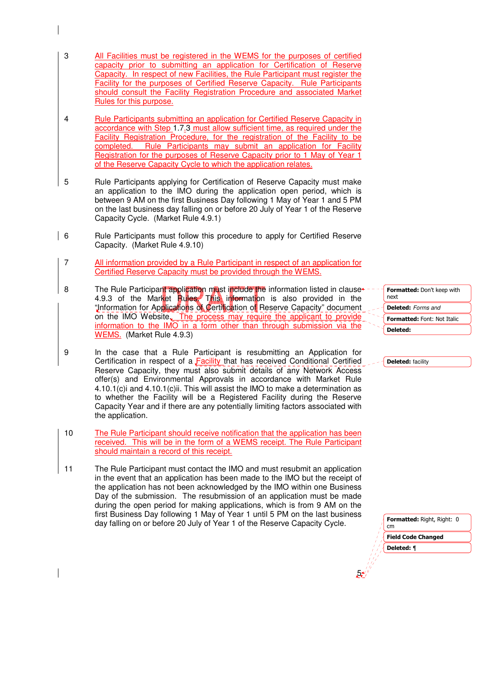- 3 All Facilities must be registered in the WEMS for the purposes of certified capacity prior to submitting an application for Certification of Reserve Capacity. In respect of new Facilities, the Rule Participant must register the Facility for the purposes of Certified Reserve Capacity. Rule Participants should consult the Facility Registration Procedure and associated Market Rules for this purpose.
- 4 Rule Participants submitting an application for Certified Reserve Capacity in accordance with Step 1.7.3 must allow sufficient time, as required under the Facility Registration Procedure, for the registration of the Facility to be completed. Rule Participants may submit an application for Facility Registration for the purposes of Reserve Capacity prior to 1 May of Year 1 of the Reserve Capacity Cycle to which the application relates.
- 5 Rule Participants applying for Certification of Reserve Capacity must make an application to the IMO during the application open period, which is between 9 AM on the first Business Day following 1 May of Year 1 and 5 PM on the last business day falling on or before 20 July of Year 1 of the Reserve Capacity Cycle. (Market Rule 4.9.1)
- 6 Rule Participants must follow this procedure to apply for Certified Reserve Capacity. (Market Rule 4.9.10)
- 7 All information provided by a Rule Participant in respect of an application for Certified Reserve Capacity must be provided through the WEMS.
- 8 The Rule Participant application must include the information listed in clause 4.9.3 of the Market Rules. This information is also provided in the "Information for Applications of Certification of Reserve Capacity" document on the IMO Website. The process may require the applicant to provide information to the IMO in a form other than through submission via the WEMS. (Market Rule 4.9.3)
- 9 In the case that a Rule Participant is resubmitting an Application for Certification in respect of a **Facility** that has received Conditional Certified Reserve Capacity, they must also submit details of any Network Access offer(s) and Environmental Approvals in accordance with Market Rule 4.10.1(c)i and 4.10.1(c)ii. This will assist the IMO to make a determination as to whether the Facility will be a Registered Facility during the Reserve Capacity Year and if there are any potentially limiting factors associated with the application.
- 10 The Rule Participant should receive notification that the application has been received. This will be in the form of a WEMS receipt. The Rule Participant should maintain a record of this receipt.
- 11 The Rule Participant must contact the IMO and must resubmit an application in the event that an application has been made to the IMO but the receipt of the application has not been acknowledged by the IMO within one Business Day of the submission. The resubmission of an application must be made during the open period for making applications, which is from 9 AM on the first Business Day following 1 May of Year 1 until 5 PM on the last business day falling on or before 20 July of Year 1 of the Reserve Capacity Cycle.

Formatted: Don't keep with next Formatted: Font: Not Italic Deleted: Forms and Deleted:

Deleted: facility

Formatted: Right, Right: 0

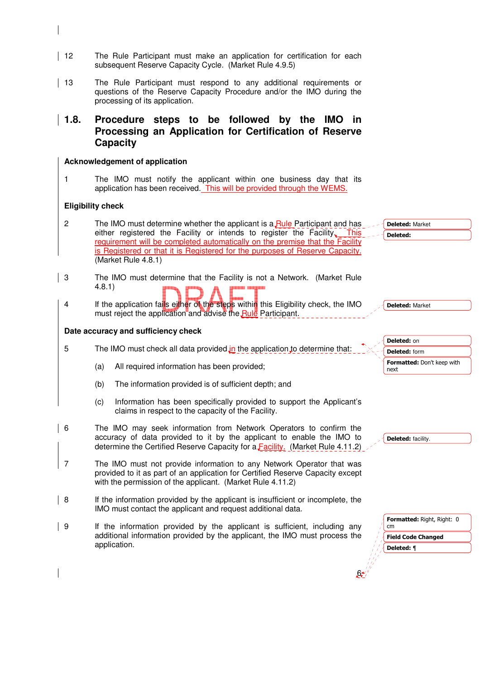- 12 The Rule Participant must make an application for certification for each subsequent Reserve Capacity Cycle. (Market Rule 4.9.5)
- 13 The Rule Participant must respond to any additional requirements or questions of the Reserve Capacity Procedure and/or the IMO during the processing of its application.

# **1.8. Procedure steps to be followed by the IMO in Processing an Application for Certification of Reserve Capacity**

#### **Acknowledgement of application**

1 The IMO must notify the applicant within one business day that its application has been received. This will be provided through the WEMS.

## **Eligibility check**

- 2 The IMO must determine whether the applicant is a Rule Participant and has either registered the Facility or intends to register the Facility. This requirement will be completed automatically on the premise that the Facility is Registered or that it is Registered for the purposes of Reserve Capacity. (Market Rule 4.8.1)
- 3 The IMO must determine that the Facility is not a Network. (Market Rule 4.8.1)
	- 4 If the application fails either of the steps within this Eligibility check, the IMO must reject the application and advise the Rule Participant.

#### **Date accuracy and sufficiency check**

- 5 The IMO must check all data provided in the application to determine that:
	- (a) All required information has been provided;
	- (b) The information provided is of sufficient depth; and
	- (c) Information has been specifically provided to support the Applicant's claims in respect to the capacity of the Facility.
- 6 The IMO may seek information from Network Operators to confirm the accuracy of data provided to it by the applicant to enable the IMO to determine the Certified Reserve Capacity for a Facility. (Market Rule 4.11.2)
- 7 The IMO must not provide information to any Network Operator that was provided to it as part of an application for Certified Reserve Capacity except with the permission of the applicant. (Market Rule 4.11.2)
- 8 If the information provided by the applicant is insufficient or incomplete, the IMO must contact the applicant and request additional data.
- 9 If the information provided by the applicant is sufficient, including any additional information provided by the applicant, the IMO must process the application.

Deleted: Market Deleted:

Deleted: Market



Deleted: facility.

| <b>Formatted: Right, Right: 0</b><br>cm |  |  |
|-----------------------------------------|--|--|
| <b>Field Code Changed</b>               |  |  |
| Deleted: ¶                              |  |  |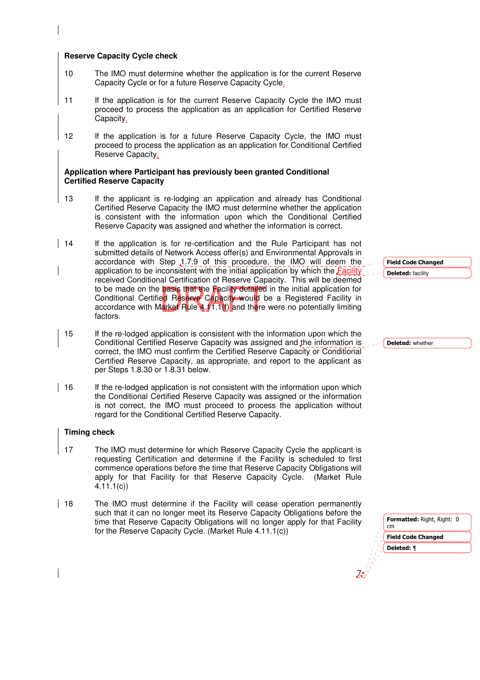#### **Reserve Capacity Cycle check**

- 10 The IMO must determine whether the application is for the current Reserve Capacity Cycle or for a future Reserve Capacity Cycle.
- 11 If the application is for the current Reserve Capacity Cycle the IMO must proceed to process the application as an application for Certified Reserve Capacity.
- 12 If the application is for a future Reserve Capacity Cycle, the IMO must proceed to process the application as an application for Conditional Certified Reserve Capacity.

#### **Application where Participant has previously been granted Conditional Certified Reserve Capacity**

- 13 If the applicant is re-lodging an application and already has Conditional Certified Reserve Capacity the IMO must determine whether the application is consistent with the information upon which the Conditional Certified Reserve Capacity was assigned and whether the information is correct.
- 14 If the application is for re-certification and the Rule Participant has not submitted details of Network Access offer(s) and Environmental Approvals in accordance with Step 1.7.9 of this procedure, the IMO will deem the application to be inconsistent with the initial application by which the Facility received Conditional Certification of Reserve Capacity. This will be deemed to be made on the **basis that the Facility detailed** in the initial application for Conditional Certified Reserve Capacity would be a Registered Facility in accordance with Market Rule  $4.11.1(f)$  and there were no potentially limiting factors.
- 15 If the re-lodged application is consistent with the information upon which the Conditional Certified Reserve Capacity was assigned and the information is correct, the IMO must confirm the Certified Reserve Capacity or Conditional Certified Reserve Capacity, as appropriate, and report to the applicant as per Steps 1.8.30 or 1.8.31 below.
- 16 If the re-lodged application is not consistent with the information upon which the Conditional Certified Reserve Capacity was assigned or the information is not correct, the IMO must proceed to process the application without regard for the Conditional Certified Reserve Capacity.

#### **Timing check**

- 17 The IMO must determine for which Reserve Capacity Cycle the applicant is requesting Certification and determine if the Facility is scheduled to first commence operations before the time that Reserve Capacity Obligations will apply for that Facility for that Reserve Capacity Cycle. (Market Rule 4.11.1(c))
- 18 The IMO must determine if the Facility will cease operation permanently such that it can no longer meet its Reserve Capacity Obligations before the time that Reserve Capacity Obligations will no longer apply for that Facility for the Reserve Capacity Cycle. (Market Rule 4.11.1(c))

Field Code Changed Deleted: facility

Deleted: whether

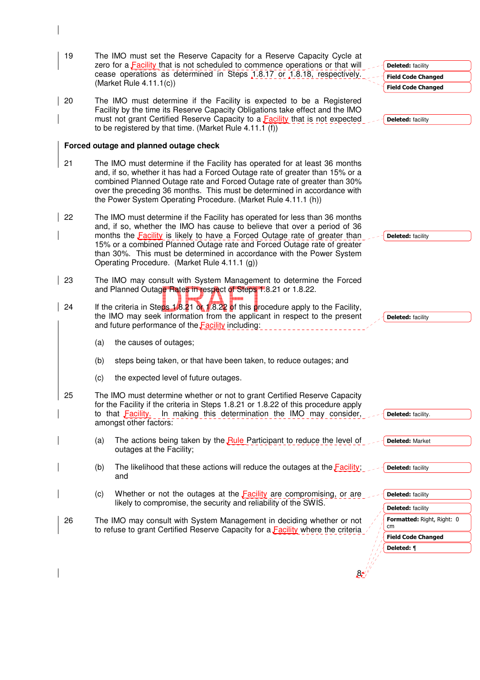| 19 | The IMO must set the Reserve Capacity for a Reserve Capacity Cycle at<br>zero for a <b>Facility</b> that is not scheduled to commence operations or that will                                                                                                                                                                                                                                                                                      | <b>Deleted:</b> facility         |
|----|----------------------------------------------------------------------------------------------------------------------------------------------------------------------------------------------------------------------------------------------------------------------------------------------------------------------------------------------------------------------------------------------------------------------------------------------------|----------------------------------|
|    | cease operations as determined in Steps 1.8.17 or 1.8.18, respectively.                                                                                                                                                                                                                                                                                                                                                                            | <b>Field Code Changed</b>        |
|    | (Market Rule $4.11.1(c)$ )                                                                                                                                                                                                                                                                                                                                                                                                                         | <b>Field Code Changed</b>        |
| 20 | The IMO must determine if the Facility is expected to be a Registered<br>Facility by the time its Reserve Capacity Obligations take effect and the IMO<br>must not grant Certified Reserve Capacity to a <b>Facility</b> that is not expected<br>to be registered by that time. (Market Rule 4.11.1 (f))                                                                                                                                           | <b>Deleted: facility</b>         |
|    | Forced outage and planned outage check                                                                                                                                                                                                                                                                                                                                                                                                             |                                  |
| 21 | The IMO must determine if the Facility has operated for at least 36 months<br>and, if so, whether it has had a Forced Outage rate of greater than 15% or a<br>combined Planned Outage rate and Forced Outage rate of greater than 30%<br>over the preceding 36 months. This must be determined in accordance with<br>the Power System Operating Procedure. (Market Rule 4.11.1 (h))                                                                |                                  |
| 22 | The IMO must determine if the Facility has operated for less than 36 months<br>and, if so, whether the IMO has cause to believe that over a period of 36<br>months the <b>Facility</b> is likely to have a Forced Outage rate of greater than<br>15% or a combined Planned Outage rate and Forced Outage rate of greater<br>than 30%. This must be determined in accordance with the Power System<br>Operating Procedure. (Market Rule 4.11.1 (g)) | <b>Deleted: facility</b>         |
| 23 | The IMO may consult with System Management to determine the Forced<br>and Planned Outage Rates in respect of Steps 1.8.21 or 1.8.22.                                                                                                                                                                                                                                                                                                               |                                  |
| 24 | If the criteria in Steps 1.8.21 or 1.8.22 of this procedure apply to the Facility,<br>the IMO may seek information from the applicant in respect to the present<br>and future performance of the <b>Facility</b> including:                                                                                                                                                                                                                        | <b>Deleted: facility</b>         |
|    | (a)<br>the causes of outages;                                                                                                                                                                                                                                                                                                                                                                                                                      |                                  |
|    | steps being taken, or that have been taken, to reduce outages; and<br>(b)                                                                                                                                                                                                                                                                                                                                                                          |                                  |
|    | the expected level of future outages.<br>(c)                                                                                                                                                                                                                                                                                                                                                                                                       |                                  |
| 25 | The IMO must determine whether or not to grant Certified Reserve Capacity<br>for the Facility if the criteria in Steps 1.8.21 or 1.8.22 of this procedure apply<br>In making this determination the IMO may consider,<br>to that <b>Facility</b> .<br>amongst other factors:                                                                                                                                                                       | <b>Deleted:</b> facility.        |
|    | The actions being taken by the Rule Participant to reduce the level of<br>(a)<br>outages at the Facility;                                                                                                                                                                                                                                                                                                                                          | <b>Deleted: Market</b>           |
|    | The likelihood that these actions will reduce the outages at the $\frac{F\text{acility}}{F}$ .<br>(b)<br>and                                                                                                                                                                                                                                                                                                                                       | <b>Deleted:</b> facility         |
|    | Whether or not the outages at the <b>Facility</b> are compromising, or are<br>(c)                                                                                                                                                                                                                                                                                                                                                                  | <b>Deleted:</b> facility         |
|    | likely to compromise, the security and reliability of the SWIS.                                                                                                                                                                                                                                                                                                                                                                                    | <b>Deleted:</b> facility         |
| 26 | The IMO may consult with System Management in deciding whether or not<br>to refuse to grant Certified Reserve Capacity for a <b>Facility</b> where the criteria                                                                                                                                                                                                                                                                                    | Formatted: Right, Right: 0<br>cm |
|    |                                                                                                                                                                                                                                                                                                                                                                                                                                                    | <b>Field Code Changed</b>        |
|    |                                                                                                                                                                                                                                                                                                                                                                                                                                                    | Deleted: ¶                       |
|    |                                                                                                                                                                                                                                                                                                                                                                                                                                                    |                                  |

 $\begin{array}{c} \rule{0pt}{2ex} \rule{0pt}{2ex} \rule{0pt}{2ex} \rule{0pt}{2ex} \rule{0pt}{2ex} \rule{0pt}{2ex} \rule{0pt}{2ex} \rule{0pt}{2ex} \rule{0pt}{2ex} \rule{0pt}{2ex} \rule{0pt}{2ex} \rule{0pt}{2ex} \rule{0pt}{2ex} \rule{0pt}{2ex} \rule{0pt}{2ex} \rule{0pt}{2ex} \rule{0pt}{2ex} \rule{0pt}{2ex} \rule{0pt}{2ex} \rule{0pt}{2ex} \rule{0pt}{2ex} \rule{0pt}{2ex} \rule{0pt}{2ex} \rule{0pt}{$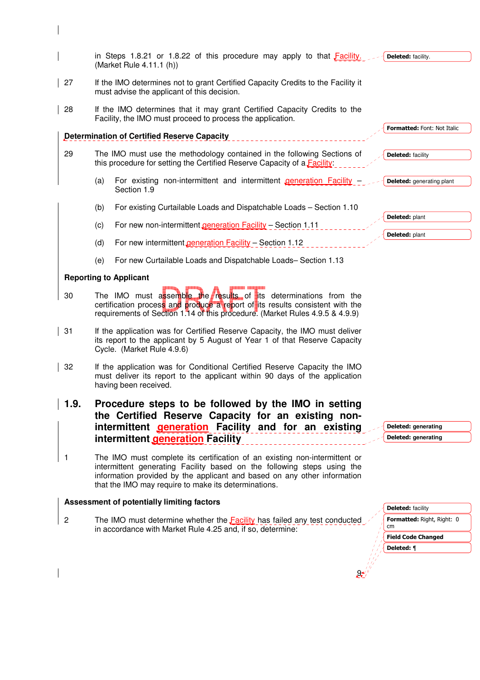|                | in Steps 1.8.21 or 1.8.22 of this procedure may apply to that Facility.<br>(Market Rule 4.11.1 (h))                                                                                                                                                                                       | Deleted: facility.                         |
|----------------|-------------------------------------------------------------------------------------------------------------------------------------------------------------------------------------------------------------------------------------------------------------------------------------------|--------------------------------------------|
| 27             | If the IMO determines not to grant Certified Capacity Credits to the Facility it<br>must advise the applicant of this decision.                                                                                                                                                           |                                            |
| 28             | If the IMO determines that it may grant Certified Capacity Credits to the<br>Facility, the IMO must proceed to process the application.                                                                                                                                                   |                                            |
|                | <b>Determination of Certified Reserve Capacity</b>                                                                                                                                                                                                                                        | Formatted: Font: Not Italic                |
| 29             | The IMO must use the methodology contained in the following Sections of<br>this procedure for setting the Certified Reserve Capacity of a Facility:                                                                                                                                       | <b>Deleted: facility</b>                   |
|                | For existing non-intermittent and intermittent <i>generation</i> Facility -<br>(a)<br>Section 1.9                                                                                                                                                                                         | <b>Deleted:</b> generating plant           |
|                | For existing Curtailable Loads and Dispatchable Loads - Section 1.10<br>(b)                                                                                                                                                                                                               |                                            |
|                | (c)<br>For new non-intermittent generation Facility - Section 1.11                                                                                                                                                                                                                        | Deleted: plant                             |
|                | (d)<br>For new intermittent generation Facility - Section 1.12                                                                                                                                                                                                                            | Deleted: plant                             |
|                | For new Curtailable Loads and Dispatchable Loads-Section 1.13<br>(e)                                                                                                                                                                                                                      |                                            |
|                | <b>Reporting to Applicant</b>                                                                                                                                                                                                                                                             |                                            |
| 30             | The IMO must assemble the results of its determinations from the<br>certification process and produce a report of its results consistent with the<br>requirements of Section 1.14 of this procedure. (Market Rules 4.9.5 & 4.9.9)                                                         |                                            |
| 31             | If the application was for Certified Reserve Capacity, the IMO must deliver<br>its report to the applicant by 5 August of Year 1 of that Reserve Capacity<br>Cycle. (Market Rule 4.9.6)                                                                                                   |                                            |
| 32             | If the application was for Conditional Certified Reserve Capacity the IMO<br>must deliver its report to the applicant within 90 days of the application<br>having been received.                                                                                                          |                                            |
| 1.9.           | Procedure steps to be followed by the IMO in setting<br>the Certified Reserve Capacity for an existing non-<br>intermittent <b>generation</b> Facility and for an existing<br>intermittent generation Facility                                                                            | Deleted: generating<br>Deleted: generating |
| $\mathbf{1}$   | The IMO must complete its certification of an existing non-intermittent or<br>intermittent generating Facility based on the following steps using the<br>information provided by the applicant and based on any other information<br>that the IMO may require to make its determinations. |                                            |
|                | Assessment of potentially limiting factors                                                                                                                                                                                                                                                | <b>Deleted:</b> facility                   |
| $\overline{c}$ | The IMO must determine whether the <b>Facility</b> has failed any test conducted                                                                                                                                                                                                          | <b>Formatted: Right, Right: 0</b><br>cm    |
|                | in accordance with Market Rule 4.25 and, if so, determine:                                                                                                                                                                                                                                | <b>Field Code Changed</b>                  |

9

 $\overline{\mathbf{I}}$ 

 $\overline{\phantom{a}}$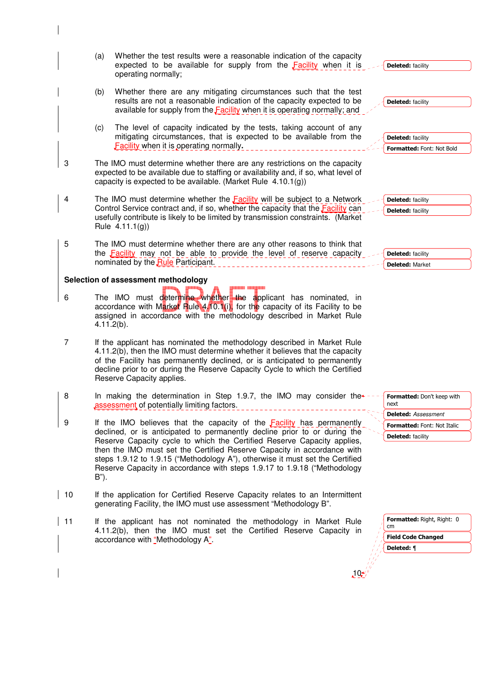|                | (a)           | Whether the test results were a reasonable indication of the capacity<br>expected to be available for supply from the Facility when it is<br>operating normally;                                                                                                                                                                                                                                                                                                             | <b>Deleted: facility</b>                                                              |
|----------------|---------------|------------------------------------------------------------------------------------------------------------------------------------------------------------------------------------------------------------------------------------------------------------------------------------------------------------------------------------------------------------------------------------------------------------------------------------------------------------------------------|---------------------------------------------------------------------------------------|
|                | (b)           | Whether there are any mitigating circumstances such that the test<br>results are not a reasonable indication of the capacity expected to be<br>available for supply from the <b>Facility</b> when it is operating normally; and                                                                                                                                                                                                                                              | <b>Deleted: facility</b>                                                              |
|                | (c)           | The level of capacity indicated by the tests, taking account of any<br>mitigating circumstances, that is expected to be available from the<br>Facility when it is operating normally.                                                                                                                                                                                                                                                                                        | <b>Deleted: facility</b><br>Formatted: Font: Not Bold                                 |
| 3              |               | The IMO must determine whether there are any restrictions on the capacity<br>expected to be available due to staffing or availability and, if so, what level of<br>capacity is expected to be available. (Market Rule $4.10.1(g)$ )                                                                                                                                                                                                                                          |                                                                                       |
| 4              |               | The IMO must determine whether the <b>Facility</b> will be subject to a Network<br>Control Service contract and, if so, whether the capacity that the <b>Facility</b> can<br>usefully contribute is likely to be limited by transmission constraints. (Market<br>Rule 4.11.1(g))                                                                                                                                                                                             | <b>Deleted:</b> facility<br><b>Deleted:</b> facility                                  |
| 5              |               | The IMO must determine whether there are any other reasons to think that<br>the Facility may not be able to provide the level of reserve capacity<br>nominated by the Rule Participant.                                                                                                                                                                                                                                                                                      | <b>Deleted:</b> facility<br><b>Deleted: Market</b>                                    |
|                |               | Selection of assessment methodology                                                                                                                                                                                                                                                                                                                                                                                                                                          |                                                                                       |
| 6              | $4.11.2(b)$ . | The IMO must determine whether the applicant has nominated, in<br>accordance with Market Rule 4.10.1(i), for the capacity of its Facility to be<br>assigned in accordance with the methodology described in Market Rule                                                                                                                                                                                                                                                      |                                                                                       |
| $\overline{7}$ |               | If the applicant has nominated the methodology described in Market Rule<br>4.11.2(b), then the IMO must determine whether it believes that the capacity<br>of the Facility has permanently declined, or is anticipated to permanently<br>decline prior to or during the Reserve Capacity Cycle to which the Certified<br>Reserve Capacity applies.                                                                                                                           |                                                                                       |
| 8              |               | In making the determination in Step 1.9.7, the IMO may consider the<br>assessment of potentially limiting factors.                                                                                                                                                                                                                                                                                                                                                           | Formatted: Don't keep with<br>next                                                    |
| 9              | B").          | If the IMO believes that the capacity of the <b>Facility</b> has permanently<br>declined, or is anticipated to permanently decline prior to or during the<br>Reserve Capacity cycle to which the Certified Reserve Capacity applies,<br>then the IMO must set the Certified Reserve Capacity in accordance with<br>steps 1.9.12 to 1.9.15 ("Methodology A"), otherwise it must set the Certified<br>Reserve Capacity in accordance with steps 1.9.17 to 1.9.18 ("Methodology | <b>Deleted:</b> Assessment<br>Formatted: Font: Not Italic<br><b>Deleted:</b> facility |
| 10             |               | If the application for Certified Reserve Capacity relates to an Intermittent<br>generating Facility, the IMO must use assessment "Methodology B".                                                                                                                                                                                                                                                                                                                            |                                                                                       |
| 11             |               | If the applicant has not nominated the methodology in Market Rule<br>4.11.2(b), then the IMO must set the Certified Reserve Capacity in<br>accordance with "Methodology A".                                                                                                                                                                                                                                                                                                  | <b>Formatted: Right, Right: 0</b><br>cm<br><b>Field Code Changed</b><br>Deleted: ¶    |
|                |               | 10 <sup>4</sup>                                                                                                                                                                                                                                                                                                                                                                                                                                                              |                                                                                       |

 $\overline{\phantom{a}}$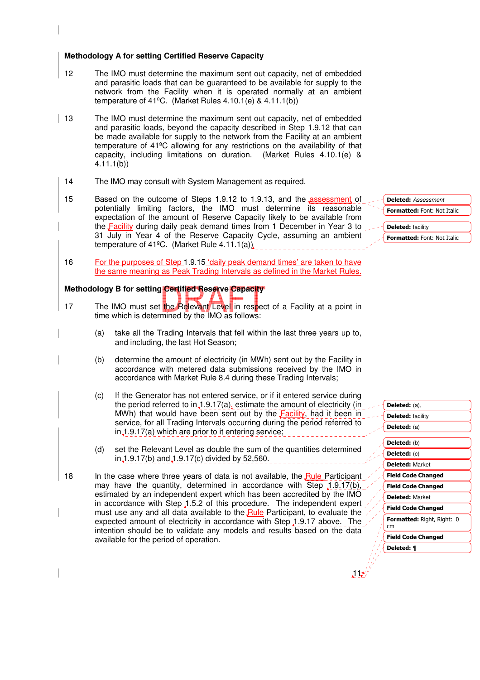#### **Methodology A for setting Certified Reserve Capacity**

- 12 The IMO must determine the maximum sent out capacity, net of embedded and parasitic loads that can be guaranteed to be available for supply to the network from the Facility when it is operated normally at an ambient temperature of 41<sup>o</sup>C. (Market Rules 4.10.1(e) & 4.11.1(b))
- 13 The IMO must determine the maximum sent out capacity, net of embedded and parasitic loads, beyond the capacity described in Step 1.9.12 that can be made available for supply to the network from the Facility at an ambient temperature of 41ºC allowing for any restrictions on the availability of that capacity, including limitations on duration. (Market Rules 4.10.1(e) & 4.11.1(b))
	- 14 The IMO may consult with System Management as required.
	- 15 Based on the outcome of Steps 1.9.12 to 1.9.13, and the assessment of potentially limiting factors, the IMO must determine its reasonable expectation of the amount of Reserve Capacity likely to be available from the Facility during daily peak demand times from 1 December in Year 3 to 31 July in Year 4 of the Reserve Capacity Cycle, assuming an ambient temperature of 41ºC. (Market Rule 4.11.1(a))
	- 16 For the purposes of Step 1.9.15 'daily peak demand times' are taken to have the same meaning as Peak Trading Intervals as defined in the Market Rules.

## **Methodology B for setting Certified Reserve Capacity**

- 17 The IMO must set the Relevant Level in respect of a Facility at a point in time which is determined by the IMO as follows:
	- (a) take all the Trading Intervals that fell within the last three years up to, and including, the last Hot Season;
	- (b) determine the amount of electricity (in MWh) sent out by the Facility in accordance with metered data submissions received by the IMO in accordance with Market Rule 8.4 during these Trading Intervals;
	- (c) If the Generator has not entered service, or if it entered service during the period referred to in  $\downarrow$  1.9.17(a), estimate the amount of electricity (in MWh) that would have been sent out by the Facility, had it been in service, for all Trading Intervals occurring during the period referred to in 1.9.17(a) which are prior to it entering service;
	- (d) set the Relevant Level as double the sum of the quantities determined in 1.9.17(b) and 1.9.17(c) divided by 52,560.
- 18 In the case where three years of data is not available, the Rule Participant may have the quantity, determined in accordance with Step  $1.9.17(b)$ , estimated by an independent expert which has been accredited by the IMO in accordance with Step 1.5.2 of this procedure. The independent expert must use any and all data available to the Rule Participant, to evaluate the expected amount of electricity in accordance with Step 1.9.17 above. The intention should be to validate any models and results based on the data available for the period of operation.

| <b>Deleted:</b> Assessment  |  |
|-----------------------------|--|
| Formatted: Font: Not Italic |  |
| <b>Deleted: facility</b>    |  |
| Formatted: Font: Not Italic |  |

| Deleted: (a),                     |
|-----------------------------------|
| <b>Deleted:</b> facility          |
| Deleted: (a)                      |
|                                   |
| Deleted: (b)                      |
| Deleted: (c)                      |
| <b>Deleted: Market</b>            |
| <b>Field Code Changed</b>         |
| <b>Field Code Changed</b>         |
| <b>Deleted: Market</b>            |
| <b>Field Code Changed</b>         |
| <b>Formatted: Right, Right: 0</b> |
| cm                                |
| <b>Field Code Changed</b>         |
| Deleted: ¶                        |
|                                   |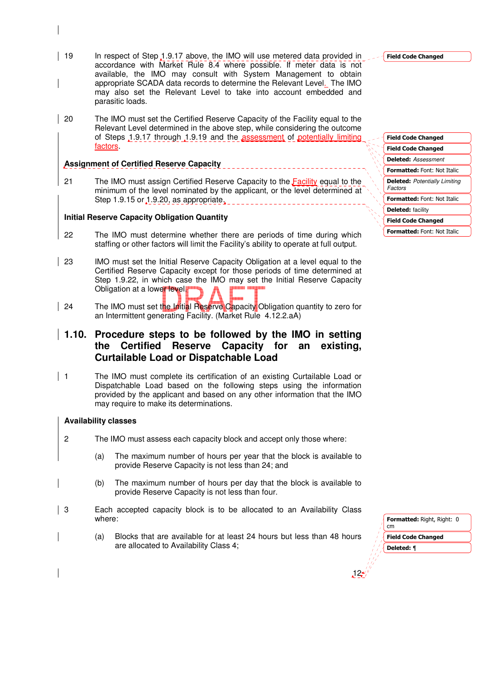- 19 In respect of Step 1.9.17 above, the IMO will use metered data provided in accordance with Market Rule 8.4 where possible. If meter data is not available, the IMO may consult with System Management to obtain appropriate SCADA data records to determine the Relevant Level. The IMO may also set the Relevant Level to take into account embedded and parasitic loads.
- 20 The IMO must set the Certified Reserve Capacity of the Facility equal to the Relevant Level determined in the above step, while considering the outcome of Steps 1.9.17 through 1.9.19 and the assessment of potentially limiting factors.

#### **Assignment of Certified Reserve Capacity**

21 The IMO must assign Certified Reserve Capacity to the Facility equal to the minimum of the level nominated by the applicant, or the level determined at Step 1.9.15 or 1.9.20, as appropriate.

# **Initial Reserve Capacity Obligation Quantity**

- 22 The IMO must determine whether there are periods of time during which staffing or other factors will limit the Facility's ability to operate at full output.
- 23 IMO must set the Initial Reserve Capacity Obligation at a level equal to the Certified Reserve Capacity except for those periods of time determined at Step 1.9.22, in which case the IMO may set the Initial Reserve Capacity Obligation at a lower level.
- 24 The IMO must set the Initial Reserve Capacity Obligation quantity to zero for an Intermittent generating Facility. (Market Rule 4.12.2.aA)

# **1.10. Procedure steps to be followed by the IMO in setting the Certified Reserve Capacity for an existing, Curtailable Load or Dispatchable Load**

1 The IMO must complete its certification of an existing Curtailable Load or Dispatchable Load based on the following steps using the information provided by the applicant and based on any other information that the IMO may require to make its determinations.

# **Availability classes**

- 2 The IMO must assess each capacity block and accept only those where:
	- (a) The maximum number of hours per year that the block is available to provide Reserve Capacity is not less than 24; and
	- (b) The maximum number of hours per day that the block is available to provide Reserve Capacity is not less than four.
- 3 Each accepted capacity block is to be allocated to an Availability Class where:
	- (a) Blocks that are available for at least 24 hours but less than 48 hours are allocated to Availability Class 4;

Formatted: Font: Not Italic Field Code Changed Field Code Changed Field Code Changed Formatted: Font: Not Italic Formatted: Font: Not Italic Deleted: Assessment Deleted: Potentially Limiting Factors Deleted: facility



12

Field Code Changed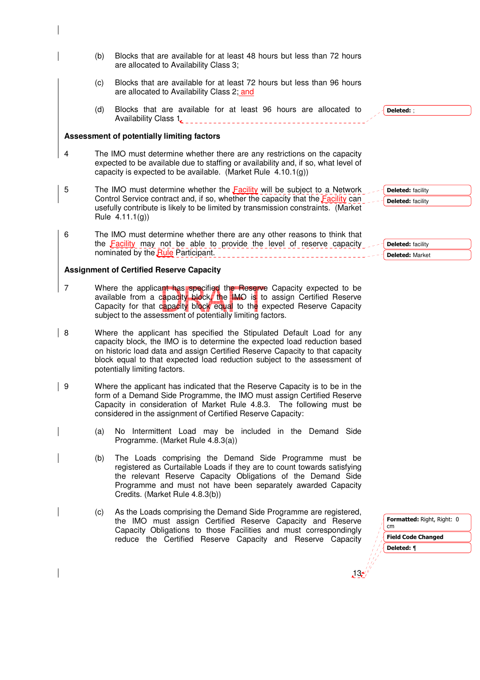- (b) Blocks that are available for at least 48 hours but less than 72 hours are allocated to Availability Class 3; (c) Blocks that are available for at least 72 hours but less than 96 hours are allocated to Availability Class 2; and (d) Blocks that are available for at least 96 hours are allocated to Availability Class 1. **2000 Contract Contract Contract Contract Contract Contract Contract Contract Contract Contract Contract Contract Contract Contract Contract Contract Contract Contract Contract Contract Contract Contr Assessment of potentially limiting factors**  4 The IMO must determine whether there are any restrictions on the capacity expected to be available due to staffing or availability and, if so, what level of capacity is expected to be available. (Market Rule 4.10.1(g)) 5 The IMO must determine whether the **Facility** will be subject to a Network Control Service contract and, if so, whether the capacity that the **Facility** can usefully contribute is likely to be limited by transmission constraints. (Market Rule 4.11.1(g)) 6 The IMO must determine whether there are any other reasons to think that the Facility may not be able to provide the level of reserve capacity nominated by the Rule Participant. **Assignment of Certified Reserve Capacity**  7 Where the applicant has specified the Reserve Capacity expected to be  $\sqrt{\phantom{a}}$  Deleted: : **Deleted:** facility Deleted: facility Deleted: facility Deleted: Market
	- available from a capacity block, the IMO is to assign Certified Reserve Capacity for that capacity block equal to the expected Reserve Capacity subject to the assessment of potentially limiting factors.
- 8 Where the applicant has specified the Stipulated Default Load for any capacity block, the IMO is to determine the expected load reduction based on historic load data and assign Certified Reserve Capacity to that capacity block equal to that expected load reduction subject to the assessment of potentially limiting factors.
- 9 Where the applicant has indicated that the Reserve Capacity is to be in the form of a Demand Side Programme, the IMO must assign Certified Reserve Capacity in consideration of Market Rule 4.8.3. The following must be considered in the assignment of Certified Reserve Capacity:
	- (a) No Intermittent Load may be included in the Demand Side Programme. (Market Rule 4.8.3(a))
		- (b) The Loads comprising the Demand Side Programme must be registered as Curtailable Loads if they are to count towards satisfying the relevant Reserve Capacity Obligations of the Demand Side Programme and must not have been separately awarded Capacity Credits. (Market Rule 4.8.3(b))
		- (c) As the Loads comprising the Demand Side Programme are registered, the IMO must assign Certified Reserve Capacity and Reserve Capacity Obligations to those Facilities and must correspondingly reduce the Certified Reserve Capacity and Reserve Capacity

| <b>Formatted: Right, Right: 0</b><br>cm |
|-----------------------------------------|
| <b>Field Code Changed</b>               |
| Deleted: ¶                              |
|                                         |
|                                         |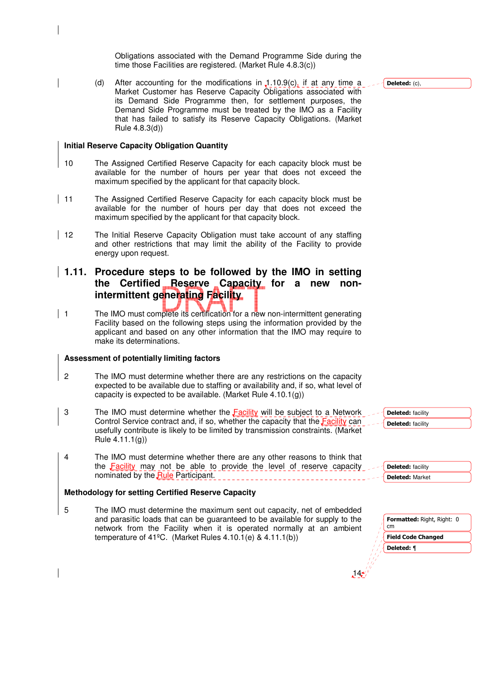Obligations associated with the Demand Programme Side during the time those Facilities are registered. (Market Rule 4.8.3(c))

(d) After accounting for the modifications in  $1.10.9(c)$ , if at any time a Market Customer has Reserve Capacity Obligations associated with its Demand Side Programme then, for settlement purposes, the Demand Side Programme must be treated by the IMO as a Facility that has failed to satisfy its Reserve Capacity Obligations. (Market Rule 4.8.3(d))

#### **Initial Reserve Capacity Obligation Quantity**

- 10 The Assigned Certified Reserve Capacity for each capacity block must be available for the number of hours per year that does not exceed the maximum specified by the applicant for that capacity block.
- | 11 The Assigned Certified Reserve Capacity for each capacity block must be available for the number of hours per day that does not exceed the maximum specified by the applicant for that capacity block.
- 12 The Initial Reserve Capacity Obligation must take account of any staffing and other restrictions that may limit the ability of the Facility to provide energy upon request.

# **1.11. Procedure steps to be followed by the IMO in setting the Certified Reserve Capacity for a new nonintermittent generating Facility**

| 1 The IMO must complete its certification for a new non-intermittent generating Facility based on the following steps using the information provided by the applicant and based on any other information that the IMO may require to make its determinations.

#### **Assessment of potentially limiting factors**

- 2 The IMO must determine whether there are any restrictions on the capacity expected to be available due to staffing or availability and, if so, what level of capacity is expected to be available. (Market Rule 4.10.1(g))
- 3 The IMO must determine whether the Facility will be subject to a Network Control Service contract and, if so, whether the capacity that the Facility can usefully contribute is likely to be limited by transmission constraints. (Market Rule 4.11.1(g))
- 4 The IMO must determine whether there are any other reasons to think that the  $Facility$  may not be able to provide the level of reserve capacity nominated by the Rule Participant.

#### **Methodology for setting Certified Reserve Capacity**

5 The IMO must determine the maximum sent out capacity, net of embedded and parasitic loads that can be guaranteed to be available for supply to the network from the Facility when it is operated normally at an ambient temperature of 41ºC. (Market Rules 4.10.1(e) & 4.11.1(b))

Field Code Changed **Formatted:** Right, Right: 0 cm

|  | Formatted: Right, Right: ( |  |
|--|----------------------------|--|
|  | <b>Field Code Changed</b>  |  |
|  | Deleted: ¶                 |  |

Deleted: facility Deleted: facility

Deleted: facility Deleted: Market

14

Deleted: (c),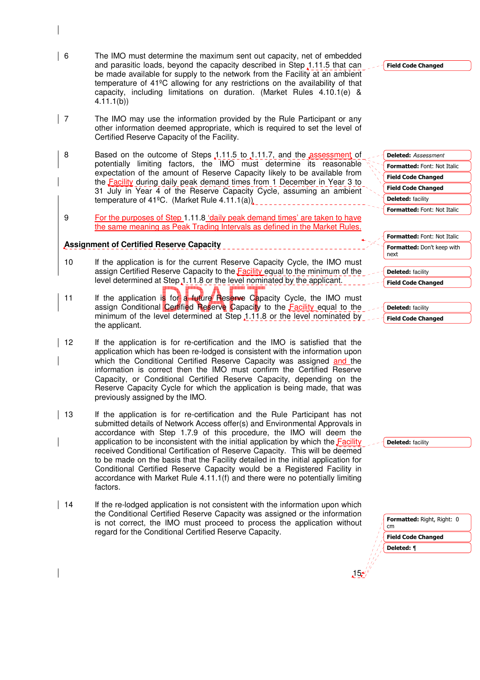- 6 The IMO must determine the maximum sent out capacity, net of embedded and parasitic loads, beyond the capacity described in Step 1.11.5 that can be made available for supply to the network from the Facility at an ambient temperature of 41ºC allowing for any restrictions on the availability of that capacity, including limitations on duration. (Market Rules 4.10.1(e) & 4.11.1(b))
- | 7 The IMO may use the information provided by the Rule Participant or any other information deemed appropriate, which is required to set the level of Certified Reserve Capacity of the Facility.
- 8 Based on the outcome of Steps 1.11.5 to 1.11.7, and the assessment of potentially limiting factors, the IMO must determine its reasonable expectation of the amount of Reserve Capacity likely to be available from the Facility during daily peak demand times from 1 December in Year 3 to 31 July in Year 4 of the Reserve Capacity Cycle, assuming an ambient temperature of 41ºC. (Market Rule 4.11.1(a))
- 9 For the purposes of Step 1.11.8 'daily peak demand times' are taken to have the same meaning as Peak Trading Intervals as defined in the Market Rules.

## **Assignment of Certified Reserve Capacity**

- 10 If the application is for the current Reserve Capacity Cycle, the IMO must assign Certified Reserve Capacity to the Facility equal to the minimum of the level determined at Step 1.11.8 or the level nominated by the applicant.
- 11 If the application is for a future Reserve Capacity Cycle, the IMO must assign Conditional Certified Reserve Capacity to the Facility equal to the minimum of the level determined at Step 1.11.8 or the level nominated by the applicant.
- 12 If the application is for re-certification and the IMO is satisfied that the application which has been re-lodged is consistent with the information upon which the Conditional Certified Reserve Capacity was assigned and the information is correct then the IMO must confirm the Certified Reserve Capacity, or Conditional Certified Reserve Capacity, depending on the Reserve Capacity Cycle for which the application is being made, that was previously assigned by the IMO.
- 13 If the application is for re-certification and the Rule Participant has not submitted details of Network Access offer(s) and Environmental Approvals in accordance with Step 1.7.9 of this procedure, the IMO will deem the application to be inconsistent with the initial application by which the Facility received Conditional Certification of Reserve Capacity. This will be deemed to be made on the basis that the Facility detailed in the initial application for Conditional Certified Reserve Capacity would be a Registered Facility in accordance with Market Rule 4.11.1(f) and there were no potentially limiting factors.
- 14 If the re-lodged application is not consistent with the information upon which the Conditional Certified Reserve Capacity was assigned or the information is not correct, the IMO must proceed to process the application without regard for the Conditional Certified Reserve Capacity.

#### Field Code Changed

Field Code Changed Field Code Changed Formatted: Font: Not Italic Formatted: Font: Not Italic Deleted: Assessment Deleted: facility

|      | Formatted: Font: Not Italic |
|------|-----------------------------|
| next | Formatted: Don't keep with  |

Deleted: facility

| <b>Field Code Changed</b> |  |
|---------------------------|--|
|                           |  |

| Deleted: facility  |
|--------------------|
| Field Code Changed |

Deleted: facility

| <b>Field Code Changed</b> | Formatted: Right, Right: 0 |
|---------------------------|----------------------------|
|                           |                            |
|                           | Deleted: ¶                 |
|                           |                            |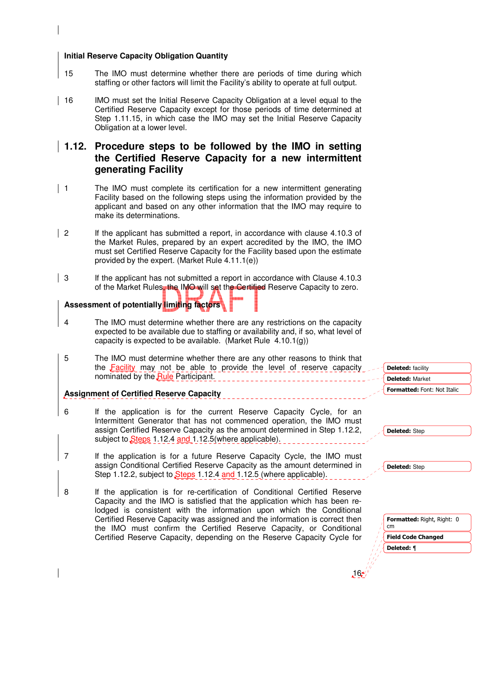#### **Initial Reserve Capacity Obligation Quantity**

- 15 The IMO must determine whether there are periods of time during which staffing or other factors will limit the Facility's ability to operate at full output.
- 16 IMO must set the Initial Reserve Capacity Obligation at a level equal to the Certified Reserve Capacity except for those periods of time determined at Step 1.11.15, in which case the IMO may set the Initial Reserve Capacity Obligation at a lower level.

# **1.12. Procedure steps to be followed by the IMO in setting the Certified Reserve Capacity for a new intermittent generating Facility**

- 1 The IMO must complete its certification for a new intermittent generating Facility based on the following steps using the information provided by the applicant and based on any other information that the IMO may require to make its determinations.
- 2 If the applicant has submitted a report, in accordance with clause 4.10.3 of the Market Rules, prepared by an expert accredited by the IMO, the IMO must set Certified Reserve Capacity for the Facility based upon the estimate provided by the expert. (Market Rule 4.11.1(e))
- 3 If the applicant has not submitted a report in accordance with Clause 4.10.3 of the Market Rules, the IMO will set the Certified Reserve Capacity to zero.

# **Assessment of potentially limiting factors**

- 4 The IMO must determine whether there are any restrictions on the capacity expected to be available due to staffing or availability and, if so, what level of capacity is expected to be available. (Market Rule 4.10.1(g))
- Field Code Changed Formatted: Right, Right: 0 cm 5 The IMO must determine whether there are any other reasons to think that the Facility may not be able to provide the level of reserve capacity nominated by the Rule Participant. **Assignment of Certified Reserve Capacity** 6 If the application is for the current Reserve Capacity Cycle, for an Intermittent Generator that has not commenced operation, the IMO must assign Certified Reserve Capacity as the amount determined in Step 1.12.2, subject to Steps 1.12.4 and 1.12.5 (where applicable). 7 If the application is for a future Reserve Capacity Cycle, the IMO must assign Conditional Certified Reserve Capacity as the amount determined in Step 1.12.2, subject to Steps 1.12.4 and 1.12.5 (where applicable). 8 If the application is for re-certification of Conditional Certified Reserve Capacity and the IMO is satisfied that the application which has been relodged is consistent with the information upon which the Conditional Certified Reserve Capacity was assigned and the information is correct then the IMO must confirm the Certified Reserve Capacity, or Conditional Certified Reserve Capacity, depending on the Reserve Capacity Cycle for Formatted: Font: Not Italic Deleted: facility Deleted: Market Deleted: Step Deleted: Step Deleted: ¶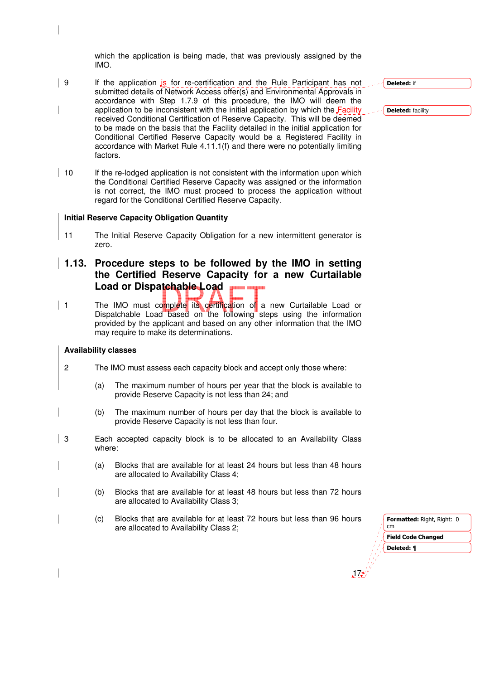which the application is being made, that was previously assigned by the IMO.

- $\vert$  9 If the application  $\frac{1}{s}$  for re-certification and the Rule Participant has not submitted details of Network Access offer(s) and Environmental Approvals in accordance with Step 1.7.9 of this procedure, the IMO will deem the application to be inconsistent with the initial application by which the Facility received Conditional Certification of Reserve Capacity. This will be deemed to be made on the basis that the Facility detailed in the initial application for Conditional Certified Reserve Capacity would be a Registered Facility in accordance with Market Rule 4.11.1(f) and there were no potentially limiting factors.
- $\vert$  10 If the re-lodged application is not consistent with the information upon which the Conditional Certified Reserve Capacity was assigned or the information is not correct, the IMO must proceed to process the application without regard for the Conditional Certified Reserve Capacity.

#### **Initial Reserve Capacity Obligation Quantity**

- 11 The Initial Reserve Capacity Obligation for a new intermittent generator is zero.
- **1.13. Procedure steps to be followed by the IMO in setting the Certified Reserve Capacity for a new Curtailable Load or Dispatchable Load**
- 1 The IMO must complete its certification of a new Curtailable Load or Dispatchable Load based on the following steps using the information provided by the applicant and based on any other information that the IMO may require to make its determinations.

#### **Availability classes**

- 2 The IMO must assess each capacity block and accept only those where:
	- (a) The maximum number of hours per year that the block is available to provide Reserve Capacity is not less than 24; and
	- (b) The maximum number of hours per day that the block is available to provide Reserve Capacity is not less than four.
- 3 Each accepted capacity block is to be allocated to an Availability Class where:
	- (a) Blocks that are available for at least 24 hours but less than 48 hours are allocated to Availability Class 4;
	- (b) Blocks that are available for at least 48 hours but less than 72 hours are allocated to Availability Class 3;
	- (c) Blocks that are available for at least 72 hours but less than 96 hours are allocated to Availability Class 2;

| <b>Formatted: Right, Right: 0</b><br>cm |
|-----------------------------------------|
| <b>Field Code Changed</b>               |
| Deleted: ¶                              |
|                                         |
|                                         |

17

Deleted: if

Deleted: facility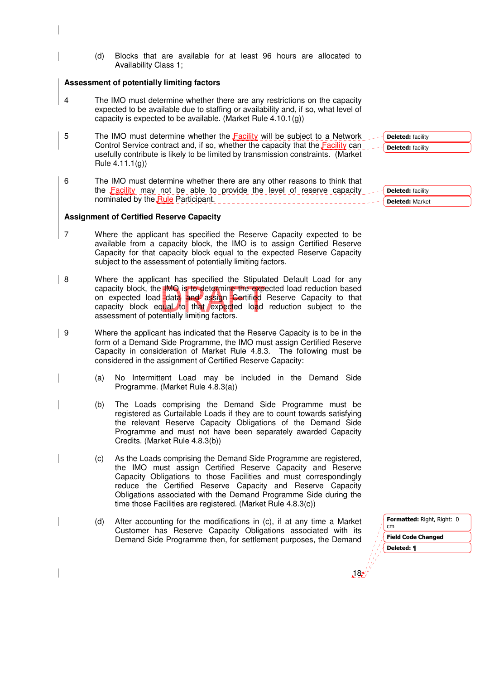(d) Blocks that are available for at least 96 hours are allocated to Availability Class 1;

#### **Assessment of potentially limiting factors**

- 4 The IMO must determine whether there are any restrictions on the capacity expected to be available due to staffing or availability and, if so, what level of capacity is expected to be available. (Market Rule 4.10.1(g))
- 5 The IMO must determine whether the Facility will be subject to a Network Control Service contract and, if so, whether the capacity that the **Facility** can usefully contribute is likely to be limited by transmission constraints. (Market Rule 4.11.1(g))
- 6 The IMO must determine whether there are any other reasons to think that the Facility may not be able to provide the level of reserve capacity nominated by the Rule Participant.

#### **Assignment of Certified Reserve Capacity**

- 7 Where the applicant has specified the Reserve Capacity expected to be available from a capacity block, the IMO is to assign Certified Reserve Capacity for that capacity block equal to the expected Reserve Capacity subject to the assessment of potentially limiting factors.
- 8 Where the applicant has specified the Stipulated Default Load for any capacity block, the IMO is to determine the expected load reduction based on expected load data and assign Certified Reserve Capacity to that capacity block equal to that expected load reduction subject to the assessment of potentially limiting factors.
- 9 Where the applicant has indicated that the Reserve Capacity is to be in the form of a Demand Side Programme, the IMO must assign Certified Reserve Capacity in consideration of Market Rule 4.8.3. The following must be considered in the assignment of Certified Reserve Capacity:
	- (a) No Intermittent Load may be included in the Demand Side Programme. (Market Rule 4.8.3(a))
	- (b) The Loads comprising the Demand Side Programme must be registered as Curtailable Loads if they are to count towards satisfying the relevant Reserve Capacity Obligations of the Demand Side Programme and must not have been separately awarded Capacity Credits. (Market Rule 4.8.3(b))
	- (c) As the Loads comprising the Demand Side Programme are registered, the IMO must assign Certified Reserve Capacity and Reserve Capacity Obligations to those Facilities and must correspondingly reduce the Certified Reserve Capacity and Reserve Capacity Obligations associated with the Demand Programme Side during the time those Facilities are registered. (Market Rule 4.8.3(c))
	- (d) After accounting for the modifications in (c), if at any time a Market Customer has Reserve Capacity Obligations associated with its Demand Side Programme then, for settlement purposes, the Demand

 $18<sup>4</sup>$ 

Deleted: facility Deleted: Market

Deleted: facility Deleted: facility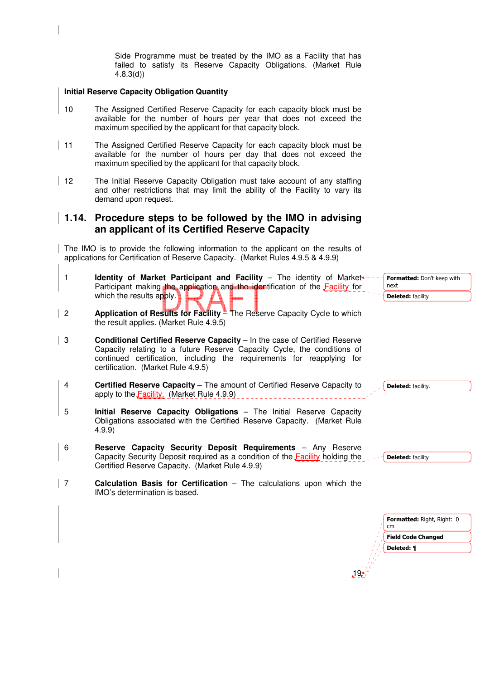Side Programme must be treated by the IMO as a Facility that has failed to satisfy its Reserve Capacity Obligations. (Market Rule 4.8.3(d))

#### **Initial Reserve Capacity Obligation Quantity**

- 10 The Assigned Certified Reserve Capacity for each capacity block must be available for the number of hours per year that does not exceed the maximum specified by the applicant for that capacity block.
- | 11 The Assigned Certified Reserve Capacity for each capacity block must be available for the number of hours per day that does not exceed the maximum specified by the applicant for that capacity block.
- 12 The Initial Reserve Capacity Obligation must take account of any staffing and other restrictions that may limit the ability of the Facility to vary its demand upon request.

# **1.14. Procedure steps to be followed by the IMO in advising an applicant of its Certified Reserve Capacity**

The IMO is to provide the following information to the applicant on the results of applications for Certification of Reserve Capacity. (Market Rules 4.9.5 & 4.9.9)

- 1 **Identity of Market Participant and Facility** The identity of Market +-Participant making the application and the identification of the Facility for which the results apply.
- 2 **Application of Results for Facility** The Reserve Capacity Cycle to which the result applies. (Market Rule 4.9.5)
- 3 **Conditional Certified Reserve Capacity** In the case of Certified Reserve Capacity relating to a future Reserve Capacity Cycle, the conditions of continued certification, including the requirements for reapplying for certification. (Market Rule 4.9.5)
- 4 **Certified Reserve Capacity** The amount of Certified Reserve Capacity to apply to the **Facility.** (Market Rule 4.9.9)
- 5 **Initial Reserve Capacity Obligations**  The Initial Reserve Capacity Obligations associated with the Certified Reserve Capacity. (Market Rule 4.9.9)
- 6 **Reserve Capacity Security Deposit Requirements** Any Reserve Capacity Security Deposit required as a condition of the Facility holding the Certified Reserve Capacity. (Market Rule 4.9.9)
- 7 **Calculation Basis for Certification**  The calculations upon which the IMO's determination is based.

 $19<sub>2</sub>$ Formatted: Right, Right: 0 cm Field Code Changed next Deleted: facility Deleted: facility Deleted: facility Deleted: ¶

Formatted: Don't keep with